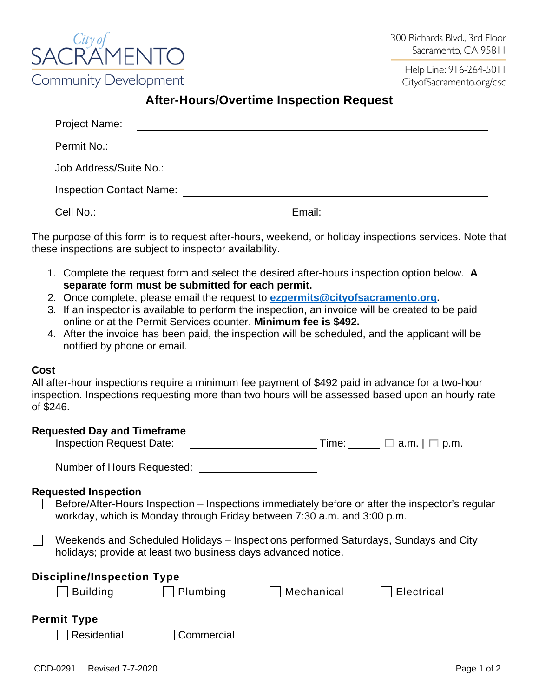

Help Line: 916-264-5011 CityofSacramento.org/dsd

## **After-Hours/Overtime Inspection Request**

| Project Name:                   |        |  |
|---------------------------------|--------|--|
| Permit No.:                     |        |  |
| Job Address/Suite No.:          |        |  |
| <b>Inspection Contact Name:</b> |        |  |
| Cell No.:                       | Email: |  |

The purpose of this form is to request after-hours, weekend, or holiday inspections services. Note that these inspections are subject to inspector availability.

- 1. Complete the request form and select the desired after-hours inspection option below. **A separate form must be submitted for each permit.**
- 2. Once complete, please email the request to **[ezpermits@cityofsacramento.org.](mailto:ezpermits@cityofsacramento.org)**
- 3. If an inspector is available to perform the inspection, an invoice will be created to be paid online or at the Permit Services counter. **Minimum fee is \$492.**
- 4. After the invoice has been paid, the inspection will be scheduled, and the applicant will be notified by phone or email.

## **Cost**

All after-hour inspections require a minimum fee payment of \$492 paid in advance for a two-hour inspection. Inspections requesting more than two hours will be assessed based upon an hourly rate of \$246.

## **Requested Day and Timeframe**

| <b>Inspection Request Date:</b> | l ime: | $\Box$ a.m. $\Box$ p.m. |
|---------------------------------|--------|-------------------------|
|---------------------------------|--------|-------------------------|

Number of Hours Requested:

## **Requested Inspection**

Before/After-Hours Inspection – Inspections immediately before or after the inspector's regular workday, which is Monday through Friday between 7:30 a.m. and 3:00 p.m.

Weekends and Scheduled Holidays – Inspections performed Saturdays, Sundays and City holidays; provide at least two business days advanced notice.

| <b>Discipline/Inspection Type</b> |            |            |            |  |  |
|-----------------------------------|------------|------------|------------|--|--|
| <b>Building</b>                   | Plumbing   | Mechanical | Electrical |  |  |
|                                   |            |            |            |  |  |
| <b>Permit Type</b>                |            |            |            |  |  |
| Residential                       | Commercial |            |            |  |  |
|                                   |            |            |            |  |  |
|                                   |            |            |            |  |  |